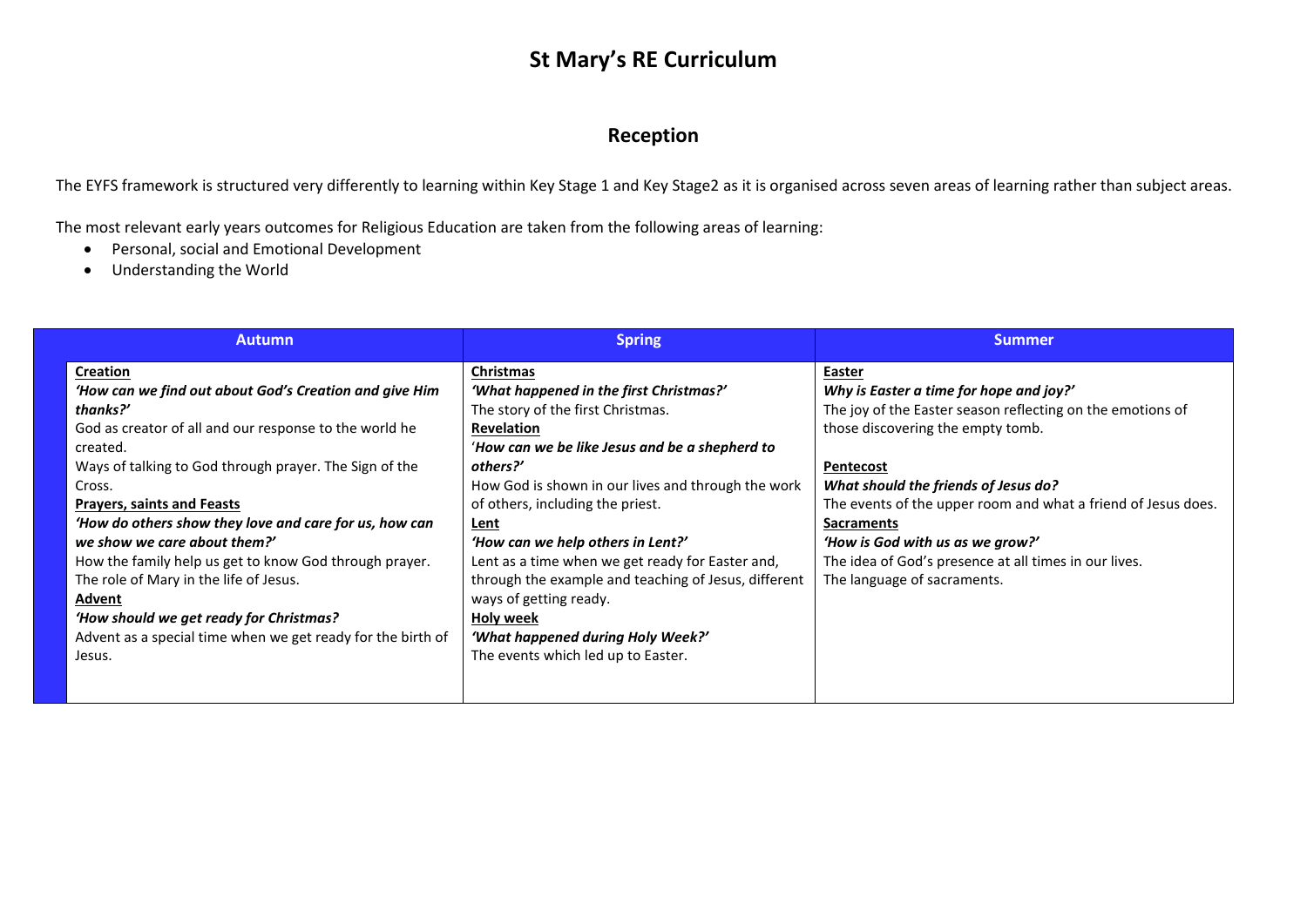## **St Mary's RE Curriculum**

### **Reception**

The EYFS framework is structured very differently to learning within Key Stage 1 and Key Stage2 as it is organised across seven areas of learning rather than subject areas.

The most relevant early years outcomes for Religious Education are taken from the following areas of learning:

- Personal, social and Emotional Development
- Understanding the World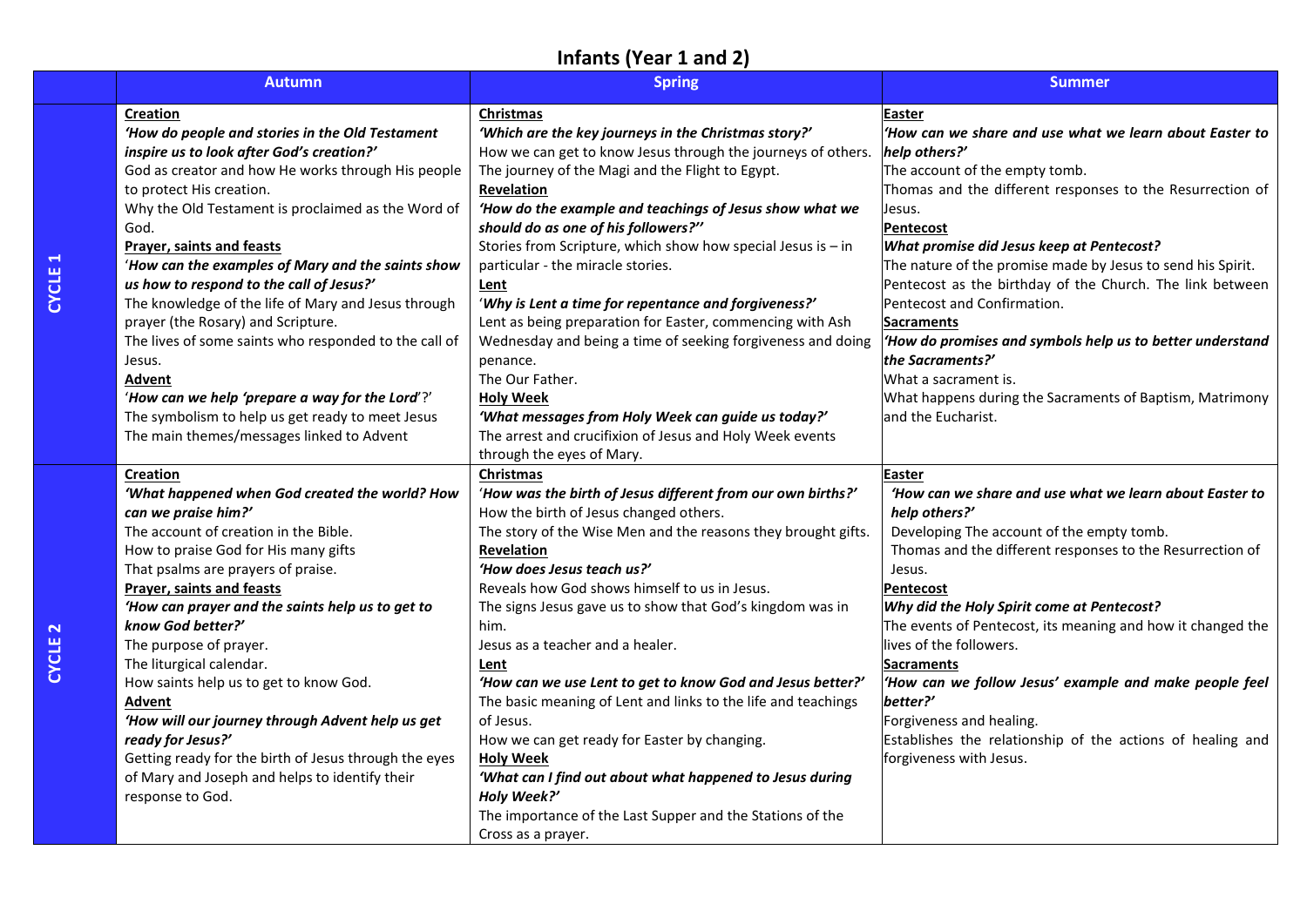# **Infants (Year 1 and 2)**

| <b>Autumn</b>                                         | <b>Spring</b>                                                  | <b>Summer</b>                                               |
|-------------------------------------------------------|----------------------------------------------------------------|-------------------------------------------------------------|
| <b>Creation</b>                                       | Christmas                                                      | Easter                                                      |
| 'How do people and stories in the Old Testament       | 'Which are the key journeys in the Christmas story?'           | 'How can we share and use what we learn about Easter to     |
| inspire us to look after God's creation?'             | How we can get to know Jesus through the journeys of others.   | help others?'                                               |
| God as creator and how He works through His people    | The journey of the Magi and the Flight to Egypt.               | The account of the empty tomb.                              |
| to protect His creation.                              | <b>Revelation</b>                                              | Thomas and the different responses to the Resurrection of   |
| Why the Old Testament is proclaimed as the Word of    | 'How do the example and teachings of Jesus show what we        | Jesus.                                                      |
| God.                                                  | should do as one of his followers?"                            | <b>Pentecost</b>                                            |
| Prayer, saints and feasts                             | Stories from Scripture, which show how special Jesus is $-$ in | What promise did Jesus keep at Pentecost?                   |
| 'How can the examples of Mary and the saints show     | particular - the miracle stories.                              | The nature of the promise made by Jesus to send his Spirit. |
| us how to respond to the call of Jesus?'              | Lent                                                           | Pentecost as the birthday of the Church. The link between   |
| The knowledge of the life of Mary and Jesus through   | 'Why is Lent a time for repentance and forgiveness?'           | Pentecost and Confirmation.                                 |
| prayer (the Rosary) and Scripture.                    | Lent as being preparation for Easter, commencing with Ash      | <b>Sacraments</b>                                           |
| The lives of some saints who responded to the call of | Wednesday and being a time of seeking forgiveness and doing    | 'How do promises and symbols help us to better understand   |
| Jesus.                                                | penance.                                                       | the Sacraments?'                                            |
| Advent                                                | The Our Father.                                                | What a sacrament is.                                        |
| 'How can we help 'prepare a way for the Lord'?'       | <b>Holy Week</b>                                               | What happens during the Sacraments of Baptism, Matrimony    |
| The symbolism to help us get ready to meet Jesus      | 'What messages from Holy Week can guide us today?'             | land the Eucharist.                                         |
| The main themes/messages linked to Advent             | The arrest and crucifixion of Jesus and Holy Week events       |                                                             |
|                                                       | through the eyes of Mary.                                      |                                                             |
| <b>Creation</b>                                       | Christmas                                                      | Easter                                                      |
| 'What happened when God created the world? How        | 'How was the birth of Jesus different from our own births?'    | 'How can we share and use what we learn about Easter to     |
| can we praise him?'                                   | How the birth of Jesus changed others.                         | help others?'                                               |
| The account of creation in the Bible.                 | The story of the Wise Men and the reasons they brought gifts.  | Developing The account of the empty tomb.                   |
| How to praise God for His many gifts                  | <b>Revelation</b>                                              | Thomas and the different responses to the Resurrection of   |
| That psalms are prayers of praise.                    | 'How does Jesus teach us?'                                     | Jesus.                                                      |
| <b>Prayer, saints and feasts</b>                      | Reveals how God shows himself to us in Jesus.                  | <b>Pentecost</b>                                            |
| 'How can prayer and the saints help us to get to      | The signs Jesus gave us to show that God's kingdom was in      | Why did the Holy Spirit come at Pentecost?                  |
| know God better?'                                     | him.                                                           | The events of Pentecost, its meaning and how it changed the |
| The purpose of prayer.                                | Jesus as a teacher and a healer.                               | lives of the followers.                                     |
| The liturgical calendar.                              | Lent                                                           | <b>Sacraments</b>                                           |
| How saints help us to get to know God.                | 'How can we use Lent to get to know God and Jesus better?'     | 'How can we follow Jesus' example and make people feel      |
| Advent                                                | The basic meaning of Lent and links to the life and teachings  | better?'                                                    |
| 'How will our journey through Advent help us get      | of Jesus.                                                      | Forgiveness and healing.                                    |
| ready for Jesus?'                                     | How we can get ready for Easter by changing.                   | Establishes the relationship of the actions of healing and  |
| Getting ready for the birth of Jesus through the eyes | <b>Holy Week</b>                                               | forgiveness with Jesus.                                     |
| of Mary and Joseph and helps to identify their        | 'What can I find out about what happened to Jesus during       |                                                             |
| response to God.                                      | Holy Week?'                                                    |                                                             |
|                                                       | The importance of the Last Supper and the Stations of the      |                                                             |
|                                                       | Cross as a prayer.                                             |                                                             |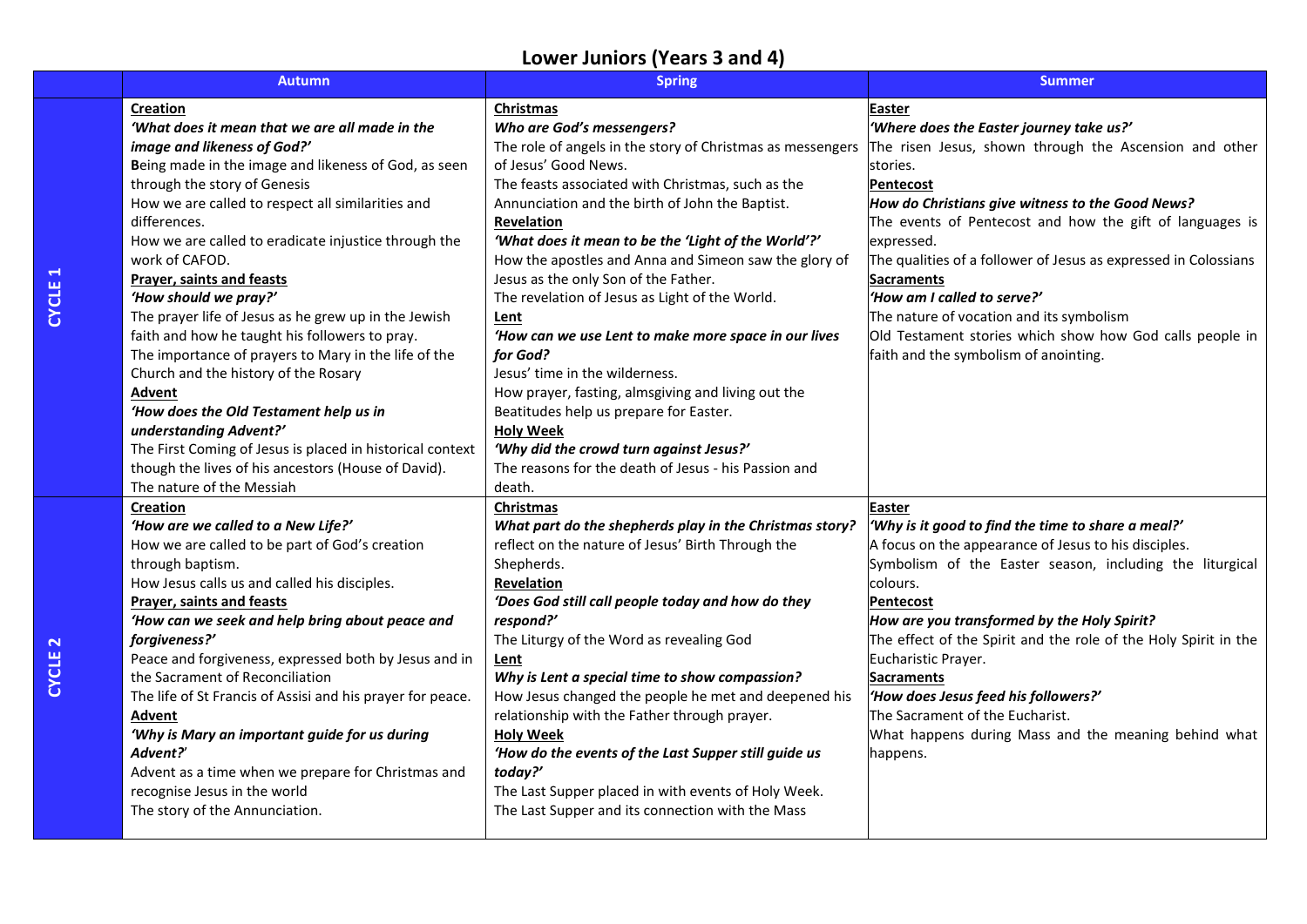# **Lower Juniors (Years 3 and 4)**

| <b>Autumn</b>                                                    | <b>Spring</b>                                              | <b>Summer</b>                                                   |
|------------------------------------------------------------------|------------------------------------------------------------|-----------------------------------------------------------------|
| Creation                                                         | Christmas                                                  | Easter                                                          |
| 'What does it mean that we are all made in the                   | Who are God's messengers?                                  | 'Where does the Easter journey take us?'                        |
| image and likeness of God?'                                      | The role of angels in the story of Christmas as messengers | The risen Jesus, shown through the Ascension and other          |
| Being made in the image and likeness of God, as seen             | of Jesus' Good News.                                       | stories.                                                        |
| through the story of Genesis                                     | The feasts associated with Christmas, such as the          | <b>Pentecost</b>                                                |
| How we are called to respect all similarities and                | Annunciation and the birth of John the Baptist.            | How do Christians give witness to the Good News?                |
| differences.                                                     | Revelation                                                 | The events of Pentecost and how the gift of languages is        |
| How we are called to eradicate injustice through the             | 'What does it mean to be the 'Light of the World'?'        | expressed.                                                      |
| work of CAFOD.                                                   | How the apostles and Anna and Simeon saw the glory of      | The qualities of a follower of Jesus as expressed in Colossians |
| Prayer, saints and feasts                                        | Jesus as the only Son of the Father.                       | <b>Sacraments</b>                                               |
| 'How should we pray?'                                            | The revelation of Jesus as Light of the World.             | 'How am I called to serve?'                                     |
| The prayer life of Jesus as he grew up in the Jewish             | Lent                                                       | The nature of vocation and its symbolism                        |
| faith and how he taught his followers to pray.                   | 'How can we use Lent to make more space in our lives       | Old Testament stories which show how God calls people in        |
| The importance of prayers to Mary in the life of the             | for God?                                                   | faith and the symbolism of anointing.                           |
| Church and the history of the Rosary                             | Jesus' time in the wilderness.                             |                                                                 |
| Advent                                                           | How prayer, fasting, almsgiving and living out the         |                                                                 |
| 'How does the Old Testament help us in<br>understanding Advent?' | Beatitudes help us prepare for Easter.<br><b>Holy Week</b> |                                                                 |
| The First Coming of Jesus is placed in historical context        | 'Why did the crowd turn against Jesus?'                    |                                                                 |
| though the lives of his ancestors (House of David).              | The reasons for the death of Jesus - his Passion and       |                                                                 |
| The nature of the Messiah                                        | death.                                                     |                                                                 |
| Creation                                                         | <b>Christmas</b>                                           | Easter                                                          |
| 'How are we called to a New Life?'                               | What part do the shepherds play in the Christmas story?    | 'Why is it good to find the time to share a meal?'              |
| How we are called to be part of God's creation                   | reflect on the nature of Jesus' Birth Through the          | A focus on the appearance of Jesus to his disciples.            |
| through baptism.                                                 | Shepherds.                                                 | Symbolism of the Easter season, including the liturgical        |
| How Jesus calls us and called his disciples.                     | Revelation                                                 | colours.                                                        |
| <b>Prayer, saints and feasts</b>                                 | 'Does God still call people today and how do they          | <b>Pentecost</b>                                                |
| 'How can we seek and help bring about peace and                  | respond?'                                                  | How are you transformed by the Holy Spirit?                     |
| forgiveness?'                                                    | The Liturgy of the Word as revealing God                   | The effect of the Spirit and the role of the Holy Spirit in the |
| Peace and forgiveness, expressed both by Jesus and in            | Lent                                                       | Eucharistic Prayer.                                             |
| the Sacrament of Reconciliation                                  | Why is Lent a special time to show compassion?             | <b>Sacraments</b>                                               |
| The life of St Francis of Assisi and his prayer for peace.       | How Jesus changed the people he met and deepened his       | 'How does Jesus feed his followers?'                            |
| Advent                                                           | relationship with the Father through prayer.               | The Sacrament of the Eucharist.                                 |
| 'Why is Mary an important guide for us during                    | <b>Holy Week</b>                                           | What happens during Mass and the meaning behind what            |
| Advent?'                                                         | 'How do the events of the Last Supper still guide us       | happens.                                                        |
| Advent as a time when we prepare for Christmas and               | today?'                                                    |                                                                 |
| recognise Jesus in the world                                     | The Last Supper placed in with events of Holy Week.        |                                                                 |
| The story of the Annunciation.                                   | The Last Supper and its connection with the Mass           |                                                                 |
|                                                                  |                                                            |                                                                 |